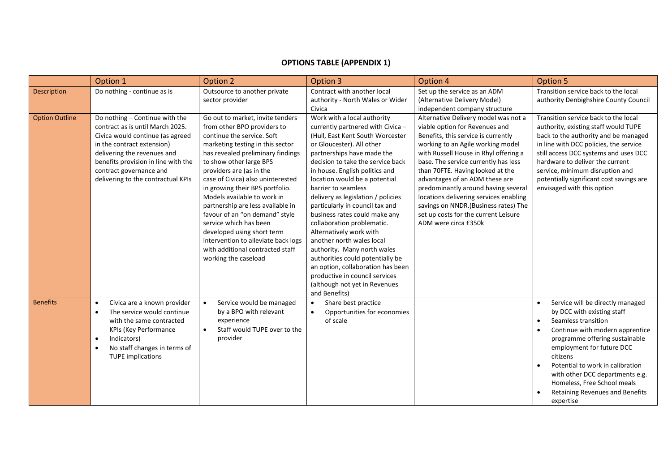## **OPTIONS TABLE (APPENDIX 1)**

|                       | Option 1                                                                                                                                                                                                                                                                    | Option 2                                                                                                                                                                                                                                                                                                                                                                                                                                                                                                                                                               | Option 3                                                                                                                                                                                                                                                                                                                                                                                                                                                                                                                                                                                                                                                                                   | Option 4                                                                                                                                                                                                                                                                                                                                                                                                                                                                                            | <b>Option 5</b>                                                                                                                                                                                                                                                                                                                                                                                               |
|-----------------------|-----------------------------------------------------------------------------------------------------------------------------------------------------------------------------------------------------------------------------------------------------------------------------|------------------------------------------------------------------------------------------------------------------------------------------------------------------------------------------------------------------------------------------------------------------------------------------------------------------------------------------------------------------------------------------------------------------------------------------------------------------------------------------------------------------------------------------------------------------------|--------------------------------------------------------------------------------------------------------------------------------------------------------------------------------------------------------------------------------------------------------------------------------------------------------------------------------------------------------------------------------------------------------------------------------------------------------------------------------------------------------------------------------------------------------------------------------------------------------------------------------------------------------------------------------------------|-----------------------------------------------------------------------------------------------------------------------------------------------------------------------------------------------------------------------------------------------------------------------------------------------------------------------------------------------------------------------------------------------------------------------------------------------------------------------------------------------------|---------------------------------------------------------------------------------------------------------------------------------------------------------------------------------------------------------------------------------------------------------------------------------------------------------------------------------------------------------------------------------------------------------------|
| Description           | Do nothing - continue as is                                                                                                                                                                                                                                                 | Outsource to another private<br>sector provider                                                                                                                                                                                                                                                                                                                                                                                                                                                                                                                        | Contract with another local<br>authority - North Wales or Wider<br>Civica                                                                                                                                                                                                                                                                                                                                                                                                                                                                                                                                                                                                                  | Set up the service as an ADM<br>(Alternative Delivery Model)<br>independent company structure                                                                                                                                                                                                                                                                                                                                                                                                       | Transition service back to the local<br>authority Denbighshire County Council                                                                                                                                                                                                                                                                                                                                 |
| <b>Option Outline</b> | Do nothing - Continue with the<br>contract as is until March 2025.<br>Civica would continue (as agreed<br>in the contract extension)<br>delivering the revenues and<br>benefits provision in line with the<br>contract governance and<br>delivering to the contractual KPIs | Go out to market, invite tenders<br>from other BPO providers to<br>continue the service. Soft<br>marketing testing in this sector<br>has revealed preliminary findings<br>to show other large BPS<br>providers are (as in the<br>case of Civica) also uninterested<br>in growing their BPS portfolio.<br>Models available to work in<br>partnership are less available in<br>favour of an "on demand" style<br>service which has been<br>developed using short term<br>intervention to alleviate back logs<br>with additional contracted staff<br>working the caseload | Work with a local authority<br>currently partnered with Civica -<br>(Hull, East Kent South Worcester<br>or Gloucester). All other<br>partnerships have made the<br>decision to take the service back<br>in house. English politics and<br>location would be a potential<br>barrier to seamless<br>delivery as legislation / policies<br>particularly in council tax and<br>business rates could make any<br>collaboration problematic.<br>Alternatively work with<br>another north wales local<br>authority. Many north wales<br>authorities could potentially be<br>an option, collaboration has been<br>productive in council services<br>(although not yet in Revenues<br>and Benefits) | Alternative Delivery model was not a<br>viable option for Revenues and<br>Benefits, this service is currently<br>working to an Agile working model<br>with Russell House in Rhyl offering a<br>base. The service currently has less<br>than 70FTE. Having looked at the<br>advantages of an ADM these are<br>predominantly around having several<br>locations delivering services enabling<br>savings on NNDR. (Business rates) The<br>set up costs for the current Leisure<br>ADM were circa £350k | Transition service back to the local<br>authority, existing staff would TUPE<br>back to the authority and be managed<br>in line with DCC policies, the service<br>still access DCC systems and uses DCC<br>hardware to deliver the current<br>service, minimum disruption and<br>potentially significant cost savings are<br>envisaged with this option                                                       |
| <b>Benefits</b>       | Civica are a known provider<br>$\bullet$<br>The service would continue<br>$\bullet$<br>with the same contracted<br><b>KPIs (Key Performance</b><br>Indicators)<br>$\bullet$<br>No staff changes in terms of<br>$\bullet$<br><b>TUPE</b> implications                        | Service would be managed<br>$\bullet$<br>by a BPO with relevant<br>experience<br>Staff would TUPE over to the<br>$\bullet$<br>provider                                                                                                                                                                                                                                                                                                                                                                                                                                 | Share best practice<br>$\bullet$<br>Opportunities for economies<br>$\bullet$<br>of scale                                                                                                                                                                                                                                                                                                                                                                                                                                                                                                                                                                                                   |                                                                                                                                                                                                                                                                                                                                                                                                                                                                                                     | Service will be directly managed<br>$\bullet$<br>by DCC with existing staff<br>Seamless transition<br>$\bullet$<br>Continue with modern apprentice<br>$\bullet$<br>programme offering sustainable<br>employment for future DCC<br>citizens<br>Potential to work in calibration<br>$\bullet$<br>with other DCC departments e.g.<br>Homeless, Free School meals<br>Retaining Revenues and Benefits<br>expertise |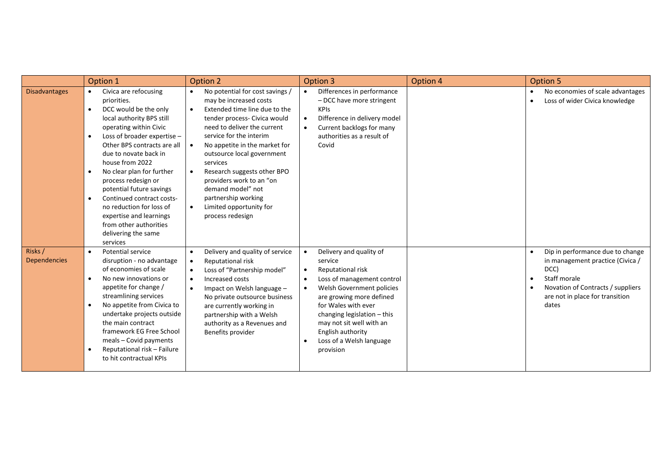|                                | Option 1                                                                                                                                                                                                                                                                                                                                                                                                                                                                                                                         | Option 2                                                                                                                                                                                                                                                                                                                                                                                                                                                                               | Option 3                                                                                                                                                                                                                                                                                                                   | Option 4 | <b>Option 5</b>                                                                                                                                                                                 |
|--------------------------------|----------------------------------------------------------------------------------------------------------------------------------------------------------------------------------------------------------------------------------------------------------------------------------------------------------------------------------------------------------------------------------------------------------------------------------------------------------------------------------------------------------------------------------|----------------------------------------------------------------------------------------------------------------------------------------------------------------------------------------------------------------------------------------------------------------------------------------------------------------------------------------------------------------------------------------------------------------------------------------------------------------------------------------|----------------------------------------------------------------------------------------------------------------------------------------------------------------------------------------------------------------------------------------------------------------------------------------------------------------------------|----------|-------------------------------------------------------------------------------------------------------------------------------------------------------------------------------------------------|
| <b>Disadvantages</b>           | Civica are refocusing<br>$\bullet$<br>priorities.<br>DCC would be the only<br>$\bullet$<br>local authority BPS still<br>operating within Civic<br>Loss of broader expertise -<br>$\bullet$<br>Other BPS contracts are all<br>due to novate back in<br>house from 2022<br>No clear plan for further<br>$\bullet$<br>process redesign or<br>potential future savings<br>Continued contract costs-<br>$\bullet$<br>no reduction for loss of<br>expertise and learnings<br>from other authorities<br>delivering the same<br>services | No potential for cost savings /<br>$\bullet$<br>may be increased costs<br>Extended time line due to the<br>$\bullet$<br>tender process- Civica would<br>need to deliver the current<br>service for the interim<br>No appetite in the market for<br>$\bullet$<br>outsource local government<br>services<br>Research suggests other BPO<br>$\bullet$<br>providers work to an "on<br>demand model" not<br>partnership working<br>Limited opportunity for<br>$\bullet$<br>process redesign | Differences in performance<br>$\bullet$<br>- DCC have more stringent<br><b>KPIs</b><br>Difference in delivery model<br>$\bullet$<br>Current backlogs for many<br>authorities as a result of<br>Covid                                                                                                                       |          | No economies of scale advantages<br>$\bullet$<br>Loss of wider Civica knowledge<br>$\bullet$                                                                                                    |
| Risks /<br><b>Dependencies</b> | Potential service<br>$\bullet$<br>disruption - no advantage<br>of economies of scale<br>No new innovations or<br>$\bullet$<br>appetite for change /<br>streamlining services<br>No appetite from Civica to<br>$\bullet$<br>undertake projects outside<br>the main contract<br>framework EG Free School<br>meals - Covid payments<br>Reputational risk - Failure<br>$\bullet$<br>to hit contractual KPIs                                                                                                                          | Delivery and quality of service<br>$\bullet$<br>Reputational risk<br>$\bullet$<br>Loss of "Partnership model"<br>$\bullet$<br>Increased costs<br>$\bullet$<br>Impact on Welsh language -<br>$\bullet$<br>No private outsource business<br>are currently working in<br>partnership with a Welsh<br>authority as a Revenues and<br>Benefits provider                                                                                                                                     | Delivery and quality of<br>service<br>Reputational risk<br>$\bullet$<br>Loss of management control<br>Welsh Government policies<br>are growing more defined<br>for Wales with ever<br>changing legislation $-$ this<br>may not sit well with an<br>English authority<br>Loss of a Welsh language<br>$\bullet$<br>provision |          | Dip in performance due to change<br>$\bullet$<br>in management practice (Civica /<br>DCC)<br>Staff morale<br>٠<br>Novation of Contracts / suppliers<br>are not in place for transition<br>dates |